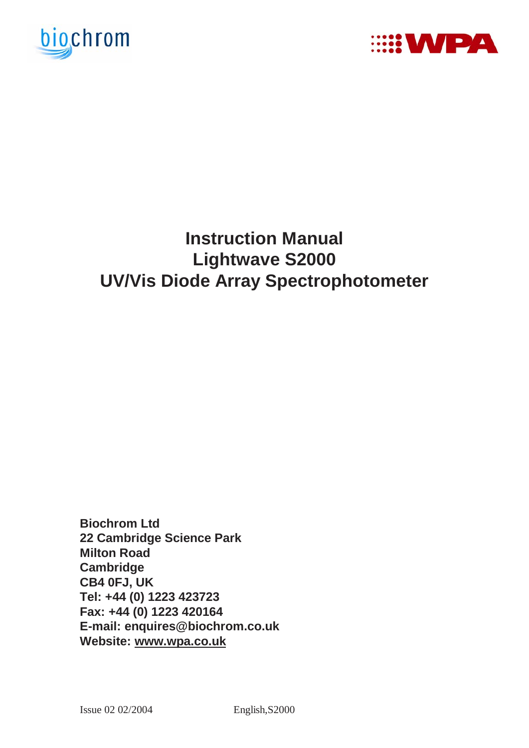



# **Instruction Manual Lightwave S2000 UV/Vis Diode Array Spectrophotometer**

**Biochrom Ltd 22 Cambridge Science Park Milton Road Cambridge CB4 0FJ, UK Tel: +44 (0) 1223 423723 Fax: +44 (0) 1223 420164 E-mail: enquires@biochrom.co.uk Website: www.wpa.co.uk**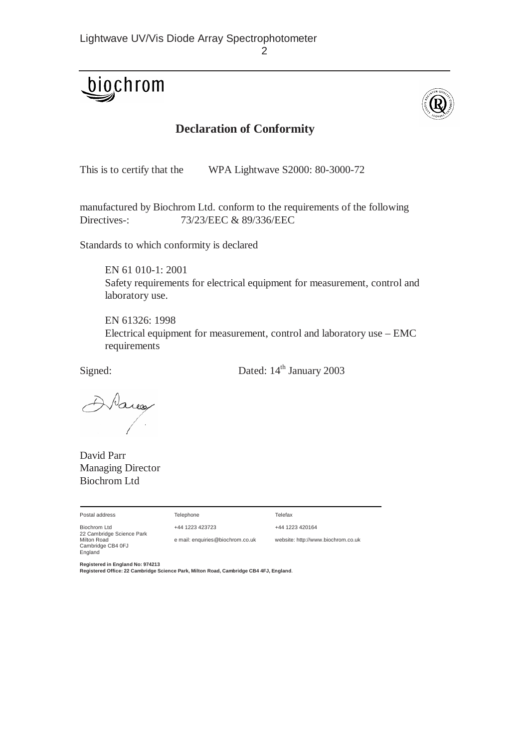# biochrom



### **Declaration of Conformity**

This is to certify that the WPA Lightwave S2000: 80-3000-72

manufactured by Biochrom Ltd. conform to the requirements of the following Directives-: 73/23/EEC & 89/336/EEC

Standards to which conformity is declared

 EN 61 010-1: 2001 Safety requirements for electrical equipment for measurement, control and laboratory use.

 EN 61326: 1998 Electrical equipment for measurement, control and laboratory use – EMC requirements

Signed: Dated: 14<sup>th</sup> January 2003

Pares

David Parr Managing Director Biochrom Ltd

| Postal address                              | Telephone                        | Telefax                            |
|---------------------------------------------|----------------------------------|------------------------------------|
| Biochrom Ltd<br>22 Cambridge Science Park   | +44 1223 423723                  | +44 1223 420164                    |
| Milton Road<br>Cambridge CB4 0FJ<br>England | e mail: enquiries@biochrom.co.uk | website: http://www.biochrom.co.uk |

**Registered in England No: 974213** 

**Registered Office: 22 Cambridge Science Park, Milton Road, Cambridge CB4 4FJ, England**.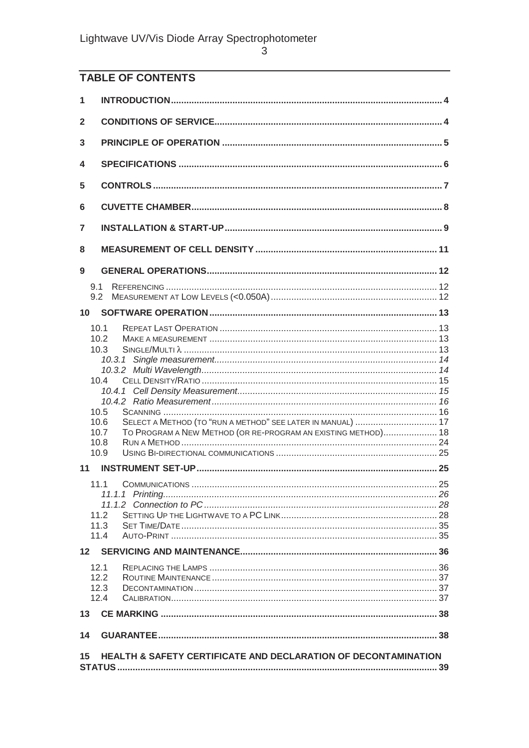# TABLE OF CONTENTS

| 1   |                                                                       |  |
|-----|-----------------------------------------------------------------------|--|
| 2   |                                                                       |  |
| 3   |                                                                       |  |
| 4   |                                                                       |  |
| 5   |                                                                       |  |
| 6   |                                                                       |  |
| 7   |                                                                       |  |
| 8   |                                                                       |  |
| 9   |                                                                       |  |
| 9.1 |                                                                       |  |
|     | 9.2                                                                   |  |
| 10  |                                                                       |  |
|     |                                                                       |  |
|     | 10.1<br>10.2                                                          |  |
|     | 10.3                                                                  |  |
|     |                                                                       |  |
|     |                                                                       |  |
|     | 10.4                                                                  |  |
|     |                                                                       |  |
|     |                                                                       |  |
|     | 10.5                                                                  |  |
|     | SELECT A METHOD (TO "RUN A METHOD" SEE LATER IN MANUAL)  17<br>10.6   |  |
|     | TO PROGRAM A NEW METHOD (OR RE-PROGRAM AN EXISTING METHOD) 18<br>10.7 |  |
|     | 10.8<br>10.9                                                          |  |
| 11  |                                                                       |  |
|     |                                                                       |  |
|     | 11.1                                                                  |  |
|     |                                                                       |  |
|     | 11.2                                                                  |  |
|     | 11.3                                                                  |  |
|     | 11.4                                                                  |  |
|     |                                                                       |  |
|     | 12.1                                                                  |  |
|     | 12.2                                                                  |  |
|     | 12.3                                                                  |  |
|     | 12.4                                                                  |  |
| 13  |                                                                       |  |
| 14  |                                                                       |  |
| 15  | HEALTH & SAFETY CERTIFICATE AND DECLARATION OF DECONTAMINATION        |  |
|     |                                                                       |  |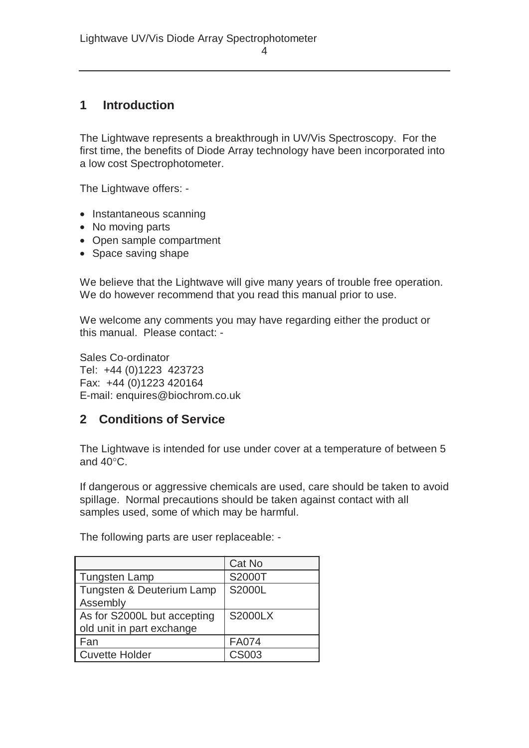## **1 Introduction**

The Lightwave represents a breakthrough in UV/Vis Spectroscopy. For the first time, the benefits of Diode Array technology have been incorporated into a low cost Spectrophotometer.

The Lightwave offers: -

- Instantaneous scanning
- No moving parts
- Open sample compartment
- Space saving shape

We believe that the Lightwave will give many years of trouble free operation. We do however recommend that you read this manual prior to use.

We welcome any comments you may have regarding either the product or this manual. Please contact: -

Sales Co-ordinator Tel: +44 (0)1223 423723 Fax: +44 (0)1223 420164 E-mail: enquires@biochrom.co.uk

#### **2 Conditions of Service**

The Lightwave is intended for use under cover at a temperature of between 5 and 40°C.

If dangerous or aggressive chemicals are used, care should be taken to avoid spillage. Normal precautions should be taken against contact with all samples used, some of which may be harmful.

The following parts are user replaceable: -

|                             | Cat No         |
|-----------------------------|----------------|
| <b>Tungsten Lamp</b>        | S2000T         |
| Tungsten & Deuterium Lamp   | S2000L         |
| Assembly                    |                |
| As for S2000L but accepting | <b>S2000LX</b> |
| old unit in part exchange   |                |
| Fan                         | <b>FA074</b>   |
| <b>Cuvette Holder</b>       | <b>CS003</b>   |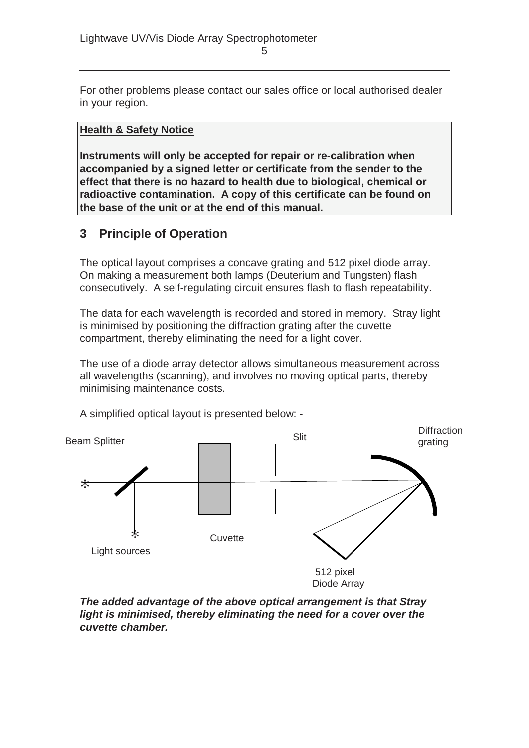For other problems please contact our sales office or local authorised dealer in your region.

#### **Health & Safety Notice**

**Instruments will only be accepted for repair or re-calibration when accompanied by a signed letter or certificate from the sender to the effect that there is no hazard to health due to biological, chemical or radioactive contamination. A copy of this certificate can be found on the base of the unit or at the end of this manual.**

#### **3 Principle of Operation**

The optical layout comprises a concave grating and 512 pixel diode array. On making a measurement both lamps (Deuterium and Tungsten) flash consecutively. A self-regulating circuit ensures flash to flash repeatability.

The data for each wavelength is recorded and stored in memory. Stray light is minimised by positioning the diffraction grating after the cuvette compartment, thereby eliminating the need for a light cover.

The use of a diode array detector allows simultaneous measurement across all wavelengths (scanning), and involves no moving optical parts, thereby minimising maintenance costs.



A simplified optical layout is presented below: -

*The added advantage of the above optical arrangement is that Stray light is minimised, thereby eliminating the need for a cover over the cuvette chamber.*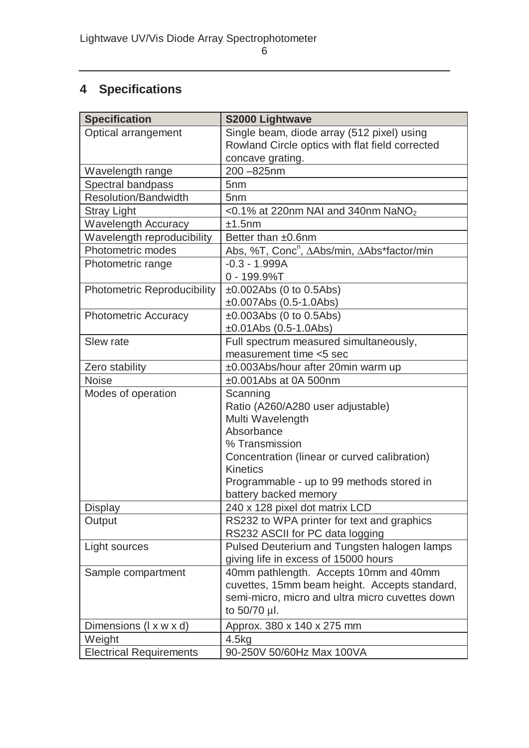# **4 Specifications**

| <b>Specification</b>               | S2000 Lightwave                                                                         |
|------------------------------------|-----------------------------------------------------------------------------------------|
| Optical arrangement                | Single beam, diode array (512 pixel) using                                              |
|                                    | Rowland Circle optics with flat field corrected                                         |
|                                    | concave grating.                                                                        |
| Wavelength range                   | 200-825nm                                                                               |
| Spectral bandpass                  | 5 <sub>nm</sub>                                                                         |
| <b>Resolution/Bandwidth</b>        | 5 <sub>nm</sub>                                                                         |
| <b>Stray Light</b>                 | $<$ 0.1% at 220nm NAI and 340nm NaNO <sub>2</sub>                                       |
| <b>Wavelength Accuracy</b>         | ±1.5nm                                                                                  |
| Wavelength reproducibility         | Better than ±0.6nm                                                                      |
| Photometric modes                  | Abs, %T, Conc <sup>n</sup> , ΔAbs/min, ΔAbs*factor/min                                  |
| Photometric range                  | $-0.3 - 1.999A$                                                                         |
|                                    | $0 - 199.9\%$ T                                                                         |
| <b>Photometric Reproducibility</b> | $±0.002Abs$ (0 to 0.5Abs)                                                               |
|                                    | $\pm 0.007$ Abs (0.5-1.0Abs)                                                            |
| <b>Photometric Accuracy</b>        | $±0.003Abs$ (0 to 0.5Abs)                                                               |
|                                    | $±0.01Abs$ (0.5-1.0Abs)                                                                 |
| Slew rate                          | Full spectrum measured simultaneously,                                                  |
|                                    | measurement time <5 sec                                                                 |
| Zero stability                     | ±0.003Abs/hour after 20min warm up                                                      |
| <b>Noise</b>                       | $±0.001$ Abs at 0A 500nm                                                                |
| Modes of operation                 | Scanning                                                                                |
|                                    | Ratio (A260/A280 user adjustable)                                                       |
|                                    | Multi Wavelength                                                                        |
|                                    | Absorbance                                                                              |
|                                    | % Transmission                                                                          |
|                                    | Concentration (linear or curved calibration)                                            |
|                                    | <b>Kinetics</b>                                                                         |
|                                    | Programmable - up to 99 methods stored in                                               |
|                                    | battery backed memory                                                                   |
| <b>Display</b>                     | 240 x 128 pixel dot matrix LCD                                                          |
| Output                             | RS232 to WPA printer for text and graphics                                              |
|                                    | RS232 ASCII for PC data logging                                                         |
| Light sources                      | Pulsed Deuterium and Tungsten halogen lamps<br>giving life in excess of 15000 hours     |
|                                    |                                                                                         |
| Sample compartment                 | 40mm pathlength. Accepts 10mm and 40mm<br>cuvettes, 15mm beam height. Accepts standard, |
|                                    | semi-micro, micro and ultra micro cuvettes down                                         |
|                                    | to 50/70 µl.                                                                            |
|                                    |                                                                                         |
| Dimensions (I x w x d)             | Approx. 380 x 140 x 275 mm                                                              |
| Weight                             | 4.5kg                                                                                   |
| <b>Electrical Requirements</b>     | 90-250V 50/60Hz Max 100VA                                                               |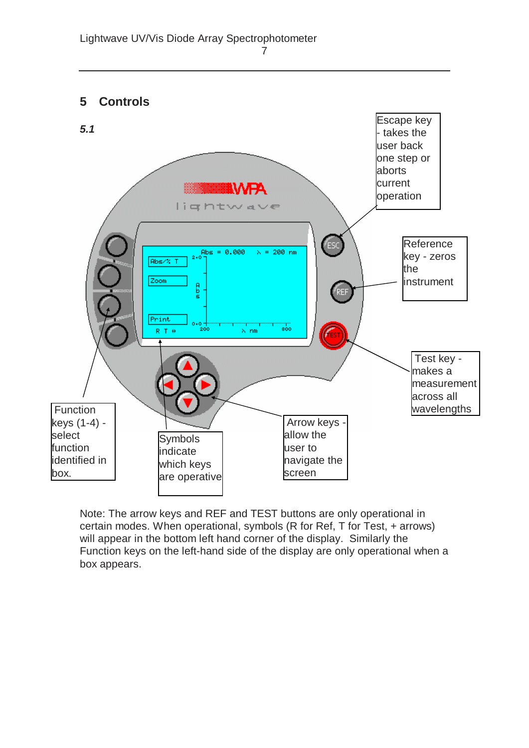



Note: The arrow keys and REF and TEST buttons are only operational in certain modes. When operational, symbols (R for Ref, T for Test, + arrows) will appear in the bottom left hand corner of the display. Similarly the Function keys on the left-hand side of the display are only operational when a box appears.

7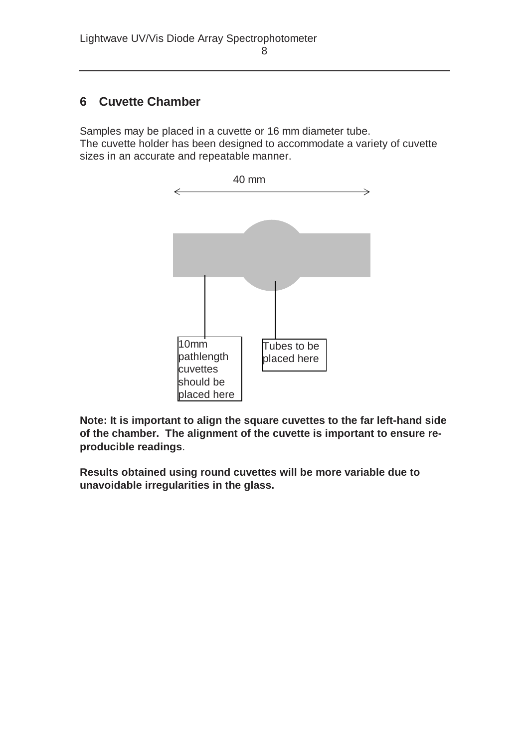# **6 Cuvette Chamber**

Samples may be placed in a cuvette or 16 mm diameter tube.

The cuvette holder has been designed to accommodate a variety of cuvette sizes in an accurate and repeatable manner.



**Note: It is important to align the square cuvettes to the far left-hand side of the chamber. The alignment of the cuvette is important to ensure reproducible readings**.

**Results obtained using round cuvettes will be more variable due to unavoidable irregularities in the glass.**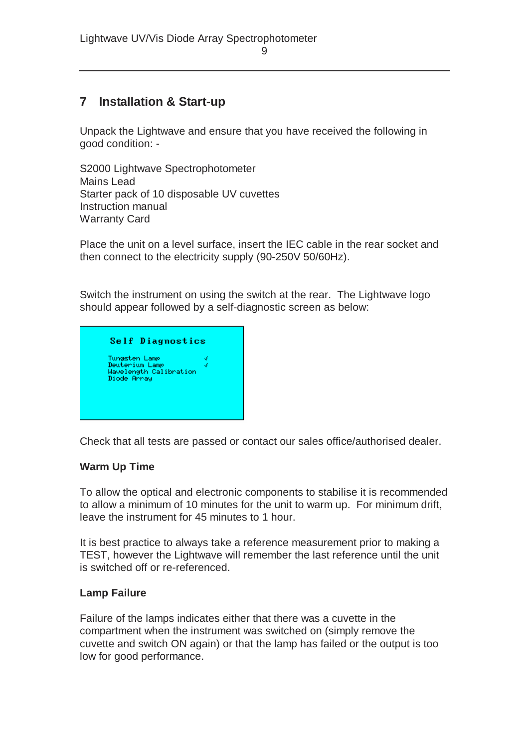# **7 Installation & Start-up**

Unpack the Lightwave and ensure that you have received the following in good condition: -

S2000 Lightwave Spectrophotometer Mains Lead Starter pack of 10 disposable UV cuvettes Instruction manual Warranty Card

Place the unit on a level surface, insert the IEC cable in the rear socket and then connect to the electricity supply (90-250V 50/60Hz).

Switch the instrument on using the switch at the rear. The Lightwave logo should appear followed by a self-diagnostic screen as below:



Check that all tests are passed or contact our sales office/authorised dealer.

#### **Warm Up Time**

To allow the optical and electronic components to stabilise it is recommended to allow a minimum of 10 minutes for the unit to warm up. For minimum drift, leave the instrument for 45 minutes to 1 hour.

It is best practice to always take a reference measurement prior to making a TEST, however the Lightwave will remember the last reference until the unit is switched off or re-referenced.

#### **Lamp Failure**

Failure of the lamps indicates either that there was a cuvette in the compartment when the instrument was switched on (simply remove the cuvette and switch ON again) or that the lamp has failed or the output is too low for good performance.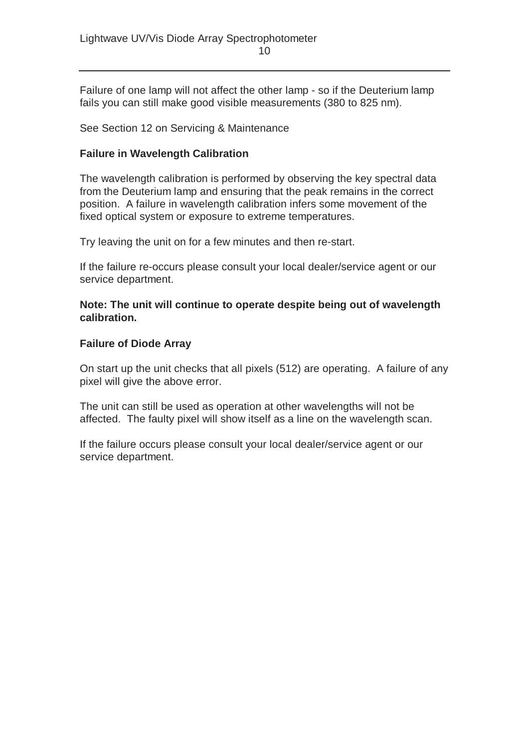Failure of one lamp will not affect the other lamp - so if the Deuterium lamp fails you can still make good visible measurements (380 to 825 nm).

See Section 12 on Servicing & Maintenance

#### **Failure in Wavelength Calibration**

The wavelength calibration is performed by observing the key spectral data from the Deuterium lamp and ensuring that the peak remains in the correct position. A failure in wavelength calibration infers some movement of the fixed optical system or exposure to extreme temperatures.

Try leaving the unit on for a few minutes and then re-start.

If the failure re-occurs please consult your local dealer/service agent or our service department.

**Note: The unit will continue to operate despite being out of wavelength calibration.** 

#### **Failure of Diode Array**

On start up the unit checks that all pixels (512) are operating. A failure of any pixel will give the above error.

The unit can still be used as operation at other wavelengths will not be affected. The faulty pixel will show itself as a line on the wavelength scan.

If the failure occurs please consult your local dealer/service agent or our service department.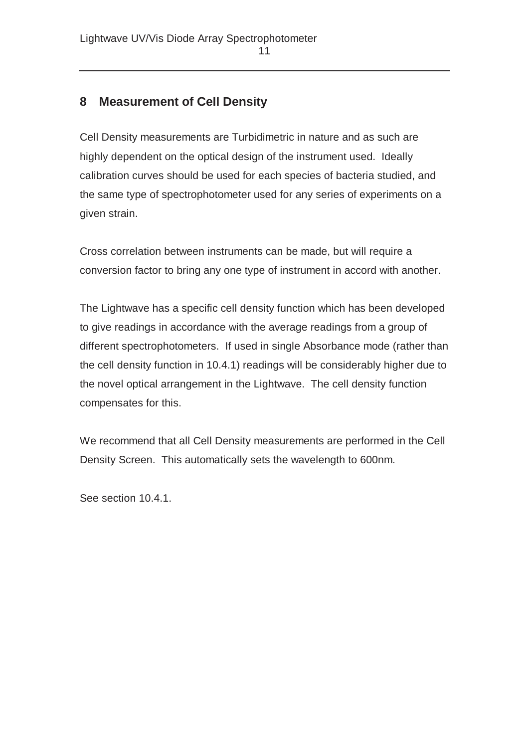# **8 Measurement of Cell Density**

Cell Density measurements are Turbidimetric in nature and as such are highly dependent on the optical design of the instrument used. Ideally calibration curves should be used for each species of bacteria studied, and the same type of spectrophotometer used for any series of experiments on a given strain.

Cross correlation between instruments can be made, but will require a conversion factor to bring any one type of instrument in accord with another.

The Lightwave has a specific cell density function which has been developed to give readings in accordance with the average readings from a group of different spectrophotometers. If used in single Absorbance mode (rather than the cell density function in 10.4.1) readings will be considerably higher due to the novel optical arrangement in the Lightwave. The cell density function compensates for this.

We recommend that all Cell Density measurements are performed in the Cell Density Screen. This automatically sets the wavelength to 600nm.

See section 10.4.1.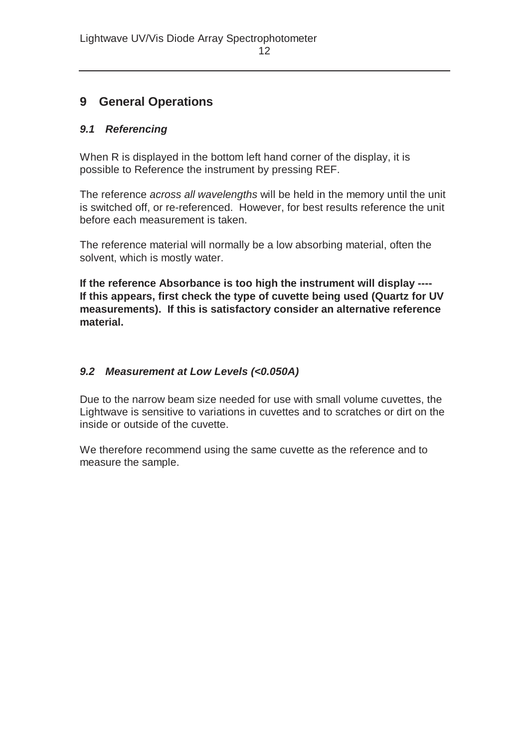## **9 General Operations**

#### *9.1 Referencing*

When R is displayed in the bottom left hand corner of the display, it is possible to Reference the instrument by pressing REF.

The reference *across all wavelengths* will be held in the memory until the unit is switched off, or re-referenced. However, for best results reference the unit before each measurement is taken.

The reference material will normally be a low absorbing material, often the solvent, which is mostly water.

**If the reference Absorbance is too high the instrument will display ---- If this appears, first check the type of cuvette being used (Quartz for UV measurements). If this is satisfactory consider an alternative reference material.** 

#### *9.2 Measurement at Low Levels (<0.050A)*

Due to the narrow beam size needed for use with small volume cuvettes, the Lightwave is sensitive to variations in cuvettes and to scratches or dirt on the inside or outside of the cuvette.

We therefore recommend using the same cuvette as the reference and to measure the sample.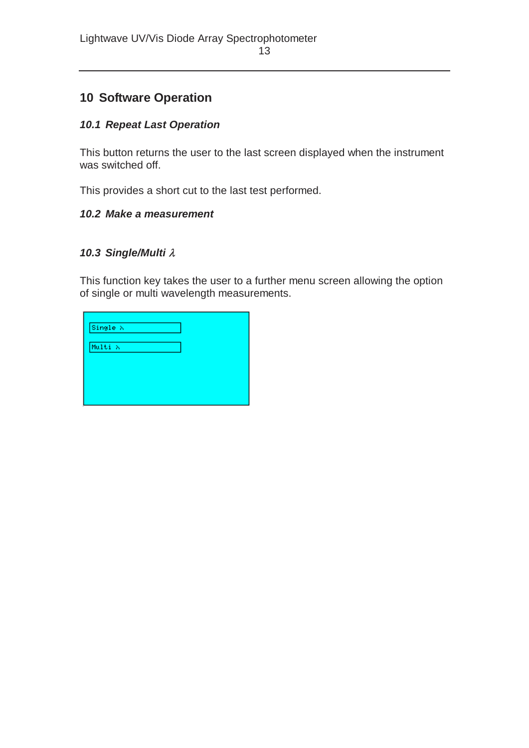# **10 Software Operation**

#### *10.1 Repeat Last Operation*

This button returns the user to the last screen displayed when the instrument was switched off.

This provides a short cut to the last test performed.

#### *10.2 Make a measurement*

#### *10.3 Single/Multi* λ

This function key takes the user to a further menu screen allowing the option of single or multi wavelength measurements.

| Single $\lambda$ |  |
|------------------|--|
| Multi X          |  |
|                  |  |
|                  |  |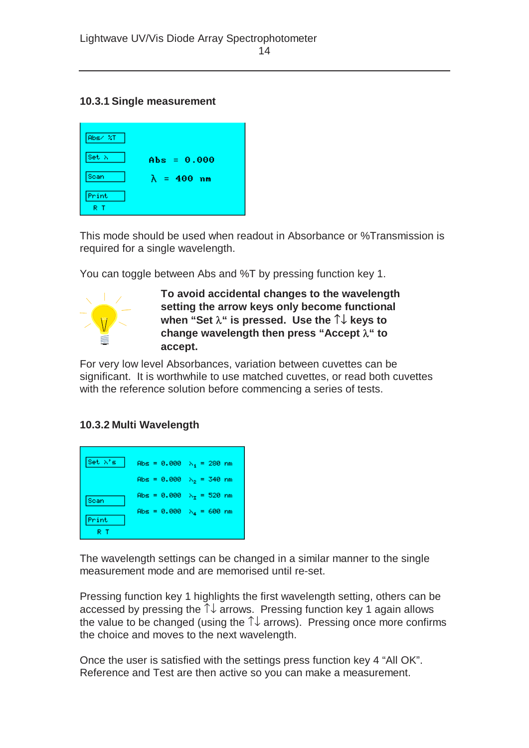#### **10.3.1 Single measurement**



This mode should be used when readout in Absorbance or %Transmission is required for a single wavelength.

You can toggle between Abs and %T by pressing function key 1.



**To avoid accidental changes to the wavelength setting the arrow keys only become functional when "Set** λ**" is pressed. Use the** ↑↓ **keys to change wavelength then press "Accept** λ**" to accept.**

For very low level Absorbances, variation between cuvettes can be significant. It is worthwhile to use matched cuvettes, or read both cuvettes with the reference solution before commencing a series of tests.

#### **10.3.2 Multi Wavelength**



The wavelength settings can be changed in a similar manner to the single measurement mode and are memorised until re-set.

Pressing function key 1 highlights the first wavelength setting, others can be accessed by pressing the ↑↓ arrows. Pressing function key 1 again allows the value to be changed (using the  $\uparrow\downarrow$  arrows). Pressing once more confirms the choice and moves to the next wavelength.

Once the user is satisfied with the settings press function key 4 "All OK". Reference and Test are then active so you can make a measurement.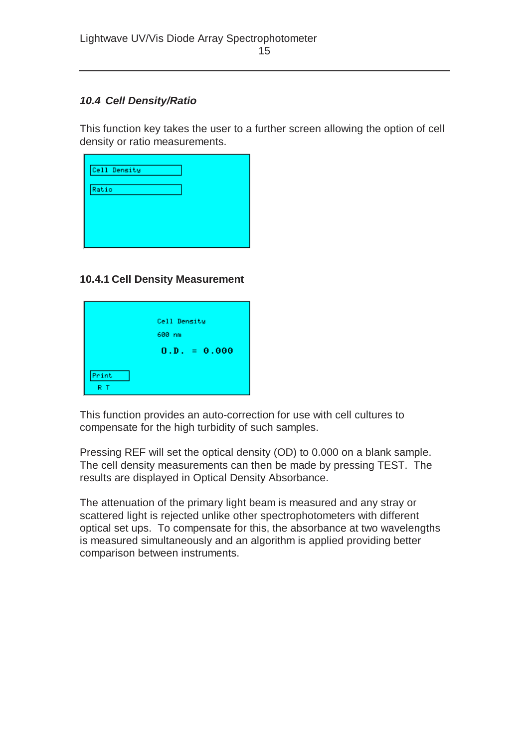#### *10.4 Cell Density/Ratio*

This function key takes the user to a further screen allowing the option of cell density or ratio measurements.

| Cell Density |  |  |
|--------------|--|--|
| Ratio        |  |  |
|              |  |  |
|              |  |  |

#### **10.4.1 Cell Density Measurement**

|       | Cell Density   |  |
|-------|----------------|--|
|       | 600 nm         |  |
|       | $0.D. = 0.000$ |  |
|       |                |  |
| Print |                |  |
| R T   |                |  |

This function provides an auto-correction for use with cell cultures to compensate for the high turbidity of such samples.

Pressing REF will set the optical density (OD) to 0.000 on a blank sample. The cell density measurements can then be made by pressing TEST. The results are displayed in Optical Density Absorbance.

The attenuation of the primary light beam is measured and any stray or scattered light is rejected unlike other spectrophotometers with different optical set ups. To compensate for this, the absorbance at two wavelengths is measured simultaneously and an algorithm is applied providing better comparison between instruments.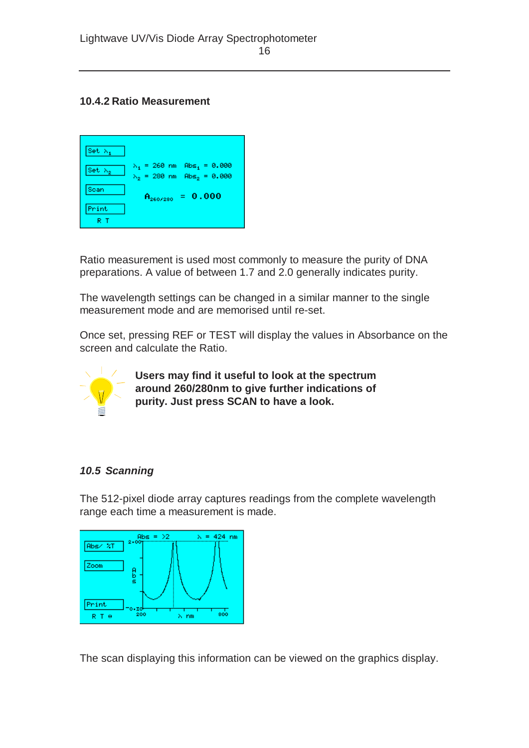#### **10.4.2 Ratio Measurement**



Ratio measurement is used most commonly to measure the purity of DNA preparations. A value of between 1.7 and 2.0 generally indicates purity.

The wavelength settings can be changed in a similar manner to the single measurement mode and are memorised until re-set.

Once set, pressing REF or TEST will display the values in Absorbance on the screen and calculate the Ratio.



**Users may find it useful to look at the spectrum around 260/280nm to give further indications of purity. Just press SCAN to have a look.**

#### *10.5 Scanning*

The 512-pixel diode array captures readings from the complete wavelength range each time a measurement is made.



The scan displaying this information can be viewed on the graphics display.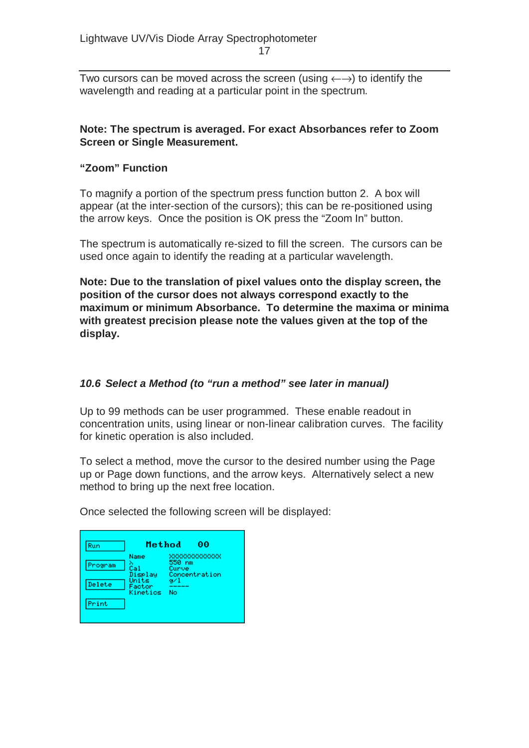Two cursors can be moved across the screen (using  $\leftarrow \rightarrow$ ) to identify the wavelength and reading at a particular point in the spectrum.

#### **Note: The spectrum is averaged. For exact Absorbances refer to Zoom Screen or Single Measurement.**

#### **"Zoom" Function**

To magnify a portion of the spectrum press function button 2. A box will appear (at the inter-section of the cursors); this can be re-positioned using the arrow keys. Once the position is OK press the "Zoom In" button.

The spectrum is automatically re-sized to fill the screen. The cursors can be used once again to identify the reading at a particular wavelength.

**Note: Due to the translation of pixel values onto the display screen, the position of the cursor does not always correspond exactly to the maximum or minimum Absorbance. To determine the maxima or minima with greatest precision please note the values given at the top of the display.** 

#### *10.6 Select a Method (to "run a method" see later in manual)*

Up to 99 methods can be user programmed. These enable readout in concentration units, using linear or non-linear calibration curves. The facility for kinetic operation is also included.

To select a method, move the cursor to the desired number using the Page up or Page down functions, and the arrow keys. Alternatively select a new method to bring up the next free location.

Once selected the following screen will be displayed:

| Run     | Method                      | 00                                                |
|---------|-----------------------------|---------------------------------------------------|
| Program | Name<br>Cal<br>Display      | xxxxxxxxxxxxx<br>550 nm<br>Curve<br>Concentration |
| Delete  | Units<br>Factor<br>Kinetics | 97 I<br>No                                        |
| Print   |                             |                                                   |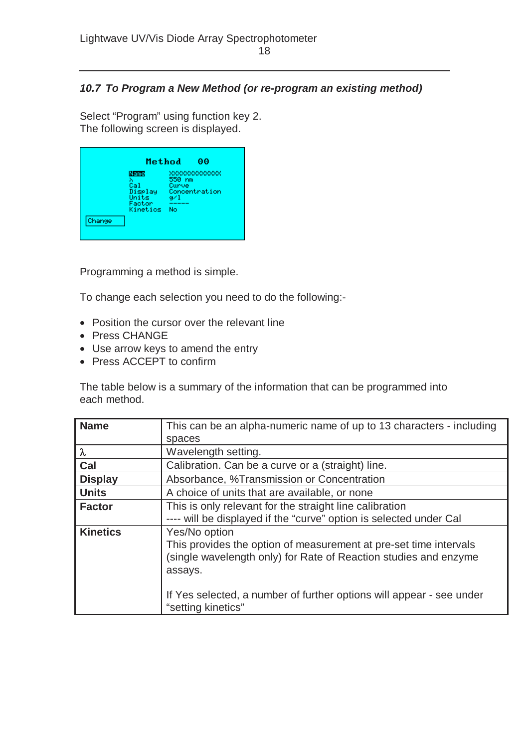#### *10.7 To Program a New Method (or re-program an existing method)*

Select "Program" using function key 2. The following screen is displayed.

|        | Method                                                     | 00                                                             |  |
|--------|------------------------------------------------------------|----------------------------------------------------------------|--|
| Change | Name<br>λ<br>Cal<br>Display<br>Units<br>Factor<br>Kinetics | XXXXXXXXXXXXX<br>550 nm<br>Curve<br>Concentration<br>ø∕1<br>No |  |

Programming a method is simple.

To change each selection you need to do the following:-

- Position the cursor over the relevant line
- Press CHANGE
- Use arrow keys to amend the entry
- Press ACCEPT to confirm

The table below is a summary of the information that can be programmed into each method.

| <b>Name</b>     | This can be an alpha-numeric name of up to 13 characters - including                                                                                                                                                                                            |
|-----------------|-----------------------------------------------------------------------------------------------------------------------------------------------------------------------------------------------------------------------------------------------------------------|
|                 | spaces                                                                                                                                                                                                                                                          |
| $\lambda$       | Wavelength setting.                                                                                                                                                                                                                                             |
| Cal             | Calibration. Can be a curve or a (straight) line.                                                                                                                                                                                                               |
| <b>Display</b>  | Absorbance, %Transmission or Concentration                                                                                                                                                                                                                      |
| <b>Units</b>    | A choice of units that are available, or none                                                                                                                                                                                                                   |
| <b>Factor</b>   | This is only relevant for the straight line calibration<br>---- will be displayed if the "curve" option is selected under Cal                                                                                                                                   |
| <b>Kinetics</b> | Yes/No option<br>This provides the option of measurement at pre-set time intervals<br>(single wavelength only) for Rate of Reaction studies and enzyme<br>assays.<br>If Yes selected, a number of further options will appear - see under<br>"setting kinetics" |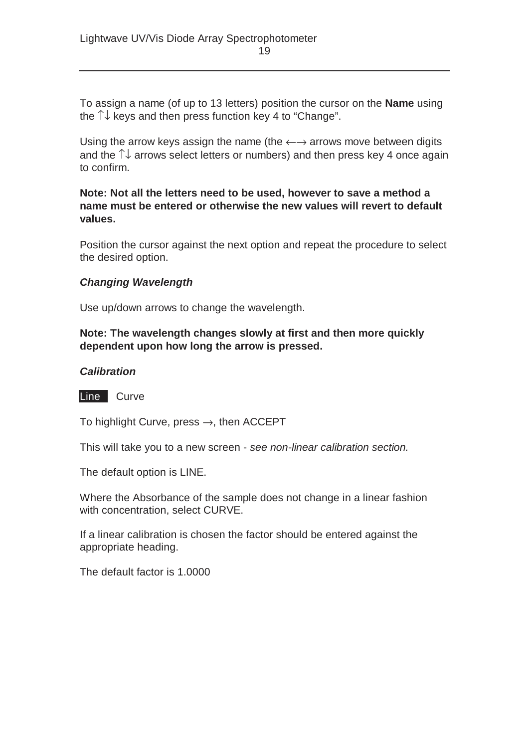To assign a name (of up to 13 letters) position the cursor on the **Name** using the  $\uparrow\downarrow$  keys and then press function key 4 to "Change".

Using the arrow keys assign the name (the  $\leftarrow \rightarrow$  arrows move between digits and the ↑↓ arrows select letters or numbers) and then press key 4 once again to confirm.

#### **Note: Not all the letters need to be used, however to save a method a name must be entered or otherwise the new values will revert to default values.**

Position the cursor against the next option and repeat the procedure to select the desired option.

#### *Changing Wavelength*

Use up/down arrows to change the wavelength.

#### **Note: The wavelength changes slowly at first and then more quickly dependent upon how long the arrow is pressed.**

#### *Calibration*

Line Curve

To highlight Curve, press  $\rightarrow$ , then ACCEPT

This will take you to a new screen - *see non-linear calibration section.* 

The default option is LINE.

Where the Absorbance of the sample does not change in a linear fashion with concentration, select CURVE.

If a linear calibration is chosen the factor should be entered against the appropriate heading.

The default factor is 1.0000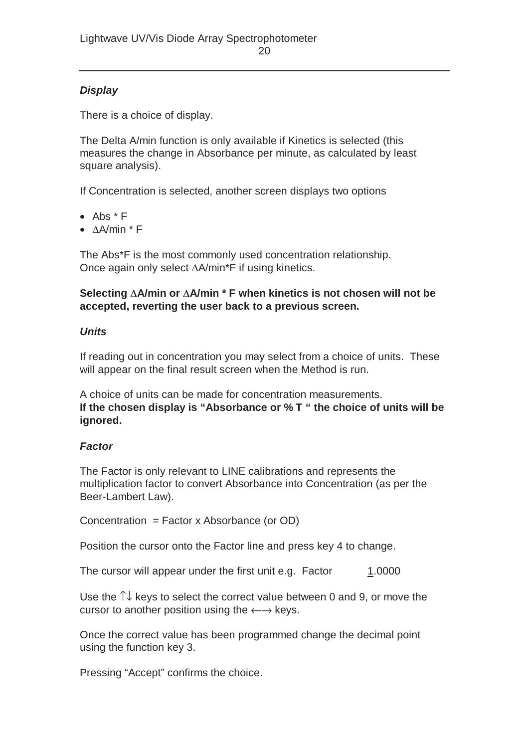#### *Display*

There is a choice of display.

The Delta A/min function is only available if Kinetics is selected (this measures the change in Absorbance per minute, as calculated by least square analysis).

If Concentration is selected, another screen displays two options

- Abs \* F
- ∆A/min \* F

The Abs\*F is the most commonly used concentration relationship. Once again only select ∆A/min\*F if using kinetics.

#### **Selecting** ∆**A/min or** ∆**A/min \* F when kinetics is not chosen will not be accepted, reverting the user back to a previous screen.**

#### *Units*

If reading out in concentration you may select from a choice of units. These will appear on the final result screen when the Method is run.

A choice of units can be made for concentration measurements. **If the chosen display is "Absorbance or % T " the choice of units will be ignored.** 

#### *Factor*

The Factor is only relevant to LINE calibrations and represents the multiplication factor to convert Absorbance into Concentration (as per the Beer-Lambert Law).

Concentration = Factor x Absorbance (or OD)

Position the cursor onto the Factor line and press key 4 to change.

The cursor will appear under the first unit e.g. Factor 1.0000

Use the  $\uparrow\downarrow$  keys to select the correct value between 0 and 9, or move the cursor to another position using the  $\leftarrow \rightarrow$  keys.

Once the correct value has been programmed change the decimal point using the function key 3.

Pressing "Accept" confirms the choice.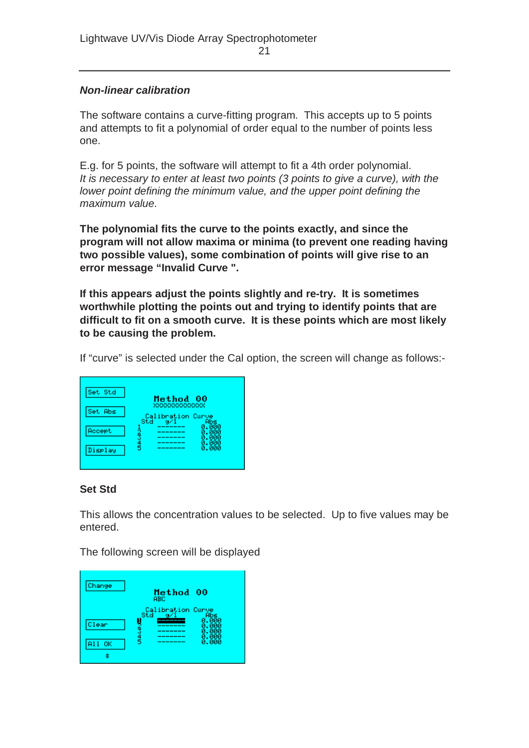#### *Non-linear calibration*

The software contains a curve-fitting program. This accepts up to 5 points and attempts to fit a polynomial of order equal to the number of points less one.

E.g. for 5 points, the software will attempt to fit a 4th order polynomial. *It is necessary to enter at least two points (3 points to give a curve), with the lower point defining the minimum value, and the upper point defining the maximum value.*

**The polynomial fits the curve to the points exactly, and since the program will not allow maxima or minima (to prevent one reading having two possible values), some combination of points will give rise to an error message "Invalid Curve ".** 

**If this appears adjust the points slightly and re-try. It is sometimes worthwhile plotting the points out and trying to identify points that are difficult to fit on a smooth curve. It is these points which are most likely to be causing the problem.** 

If "curve" is selected under the Cal option, the screen will change as follows:-

| Set Std |                                                |
|---------|------------------------------------------------|
|         | Method<br>00<br>xxxxxxxxxxxxx                  |
| Set Abs | Calibration Curve<br>Std<br>$\alpha$ /1<br>Abs |
| Accept  | 0.000<br>Й<br>- 000<br>. ппп                   |
| Display | 2さり らい<br>. иии<br>0.000                       |

#### **Set Std**

This allows the concentration values to be selected. Up to five values may be entered.

The following screen will be displayed

| Change | Method 00<br>ABC                              |
|--------|-----------------------------------------------|
| Clear  | Calibration Curve<br>Abs<br>az.<br>. ийй<br>Й |
| A11 OK | ă<br>5<br>ø<br>. иии<br>0.000                 |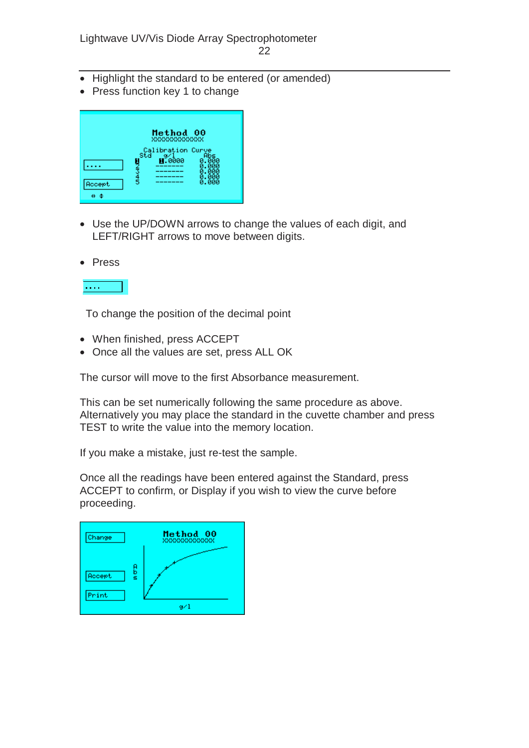- Highlight the standard to be entered (or amended)
- Press function key 1 to change

|        | Method 00<br>xxxxxxxxxxxxx |                         |
|--------|----------------------------|-------------------------|
|        | $\frac{9}{10000}$          | ÁĞs<br>0.000            |
|        | 3<br>3<br>5                | 0.000<br>0.000<br>0.000 |
| Accept |                            | ค. คคค                  |
| θ      |                            |                         |

• Use the UP/DOWN arrows to change the values of each digit, and LEFT/RIGHT arrows to move between digits.





To change the position of the decimal point

- When finished, press ACCEPT
- Once all the values are set, press ALL OK

The cursor will move to the first Absorbance measurement.

This can be set numerically following the same procedure as above. Alternatively you may place the standard in the cuvette chamber and press TEST to write the value into the memory location.

If you make a mistake, just re-test the sample.

Once all the readings have been entered against the Standard, press ACCEPT to confirm, or Display if you wish to view the curve before proceeding.

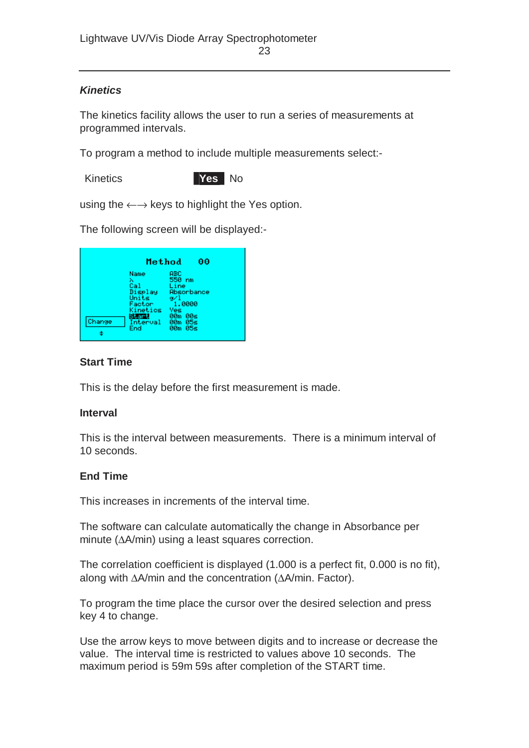#### *Kinetics*

The kinetics facility allows the user to run a series of measurements at programmed intervals.

To program a method to include multiple measurements select:-



using the  $\leftarrow \rightarrow$  keys to highlight the Yes option.

The following screen will be displayed:-



#### **Start Time**

This is the delay before the first measurement is made.

#### **Interval**

This is the interval between measurements. There is a minimum interval of 10 seconds.

#### **End Time**

This increases in increments of the interval time.

The software can calculate automatically the change in Absorbance per minute (∆A/min) using a least squares correction.

The correlation coefficient is displayed (1.000 is a perfect fit, 0.000 is no fit), along with ∆A/min and the concentration (∆A/min. Factor).

To program the time place the cursor over the desired selection and press key 4 to change.

Use the arrow keys to move between digits and to increase or decrease the value. The interval time is restricted to values above 10 seconds. The maximum period is 59m 59s after completion of the START time.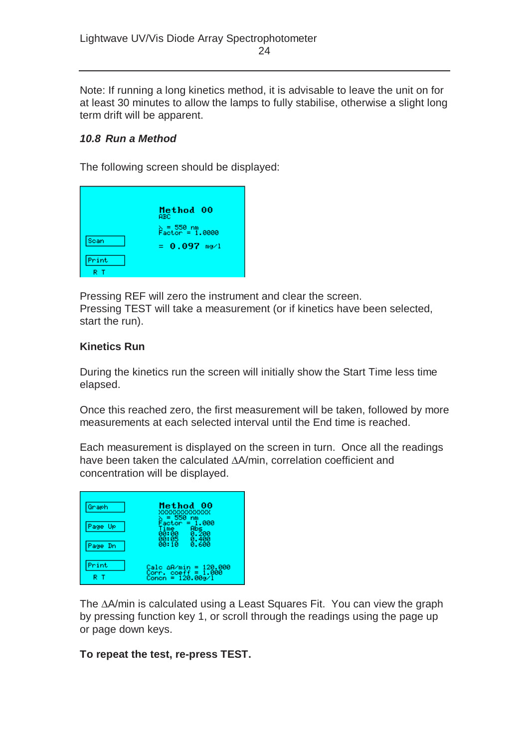Note: If running a long kinetics method, it is advisable to leave the unit on for at least 30 minutes to allow the lamps to fully stabilise, otherwise a slight long term drift will be apparent.

#### *10.8 Run a Method*

The following screen should be displayed:

| Scan<br>Print | Method 00<br><b>ABC</b><br>% = 550 nm<br>Factor = 1.0000<br>$= 0.097$ mg/l |
|---------------|----------------------------------------------------------------------------|
|               |                                                                            |

Pressing REF will zero the instrument and clear the screen. Pressing TEST will take a measurement (or if kinetics have been selected, start the run).

#### **Kinetics Run**

During the kinetics run the screen will initially show the Start Time less time elapsed.

Once this reached zero, the first measurement will be taken, followed by more measurements at each selected interval until the End time is reached.

Each measurement is displayed on the screen in turn. Once all the readings have been taken the calculated ∆A/min, correlation coefficient and concentration will be displayed.



The ∆A/min is calculated using a Least Squares Fit. You can view the graph by pressing function key 1, or scroll through the readings using the page up or page down keys.

#### **To repeat the test, re-press TEST.**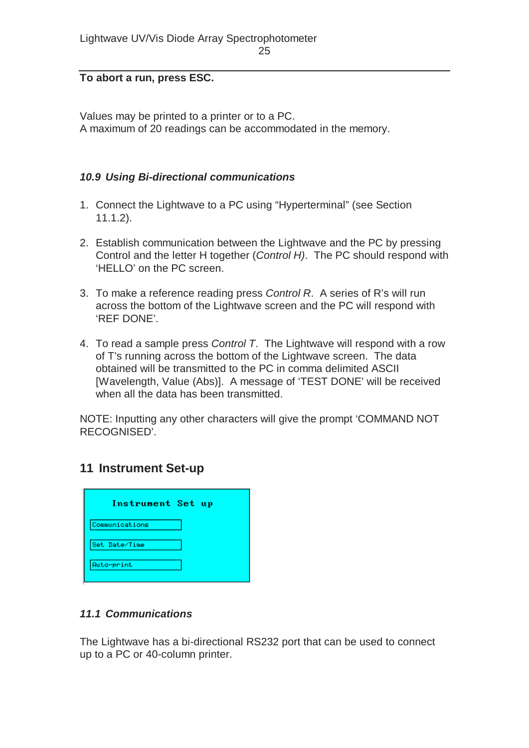#### **To abort a run, press ESC.**

Values may be printed to a printer or to a PC. A maximum of 20 readings can be accommodated in the memory.

#### *10.9 Using Bi-directional communications*

- 1. Connect the Lightwave to a PC using "Hyperterminal" (see Section 11.1.2).
- 2. Establish communication between the Lightwave and the PC by pressing Control and the letter H together (*Control H)*. The PC should respond with 'HELLO' on the PC screen.
- 3. To make a reference reading press *Control R*. A series of R's will run across the bottom of the Lightwave screen and the PC will respond with 'REF DONE'.
- 4. To read a sample press *Control T*. The Lightwave will respond with a row of T's running across the bottom of the Lightwave screen. The data obtained will be transmitted to the PC in comma delimited ASCII [Wavelength, Value (Abs)]. A message of 'TEST DONE' will be received when all the data has been transmitted.

NOTE: Inputting any other characters will give the prompt 'COMMAND NOT RECOGNISED'.

#### **11 Instrument Set-up**

| Instrument Set up |
|-------------------|
| Communications    |
| Set Date/Time     |
| Auto-print        |

#### *11.1 Communications*

The Lightwave has a bi-directional RS232 port that can be used to connect up to a PC or 40-column printer.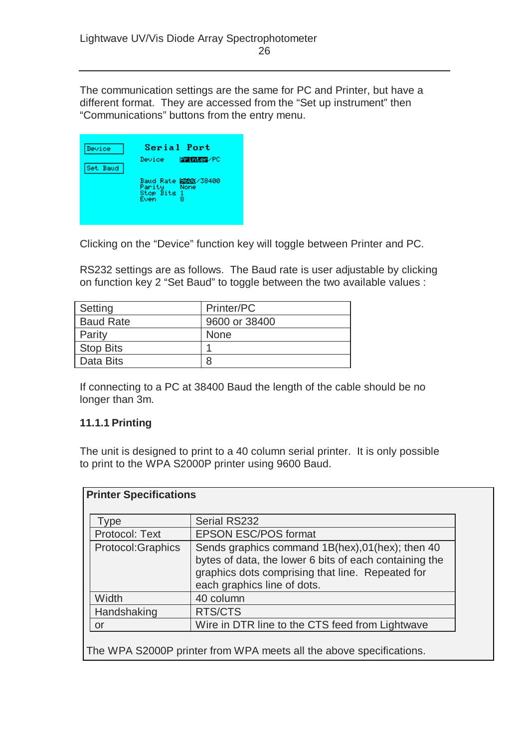The communication settings are the same for PC and Printer, but have a different format. They are accessed from the "Set up instrument" then "Communications" buttons from the entry menu.

| Device   | Serial Port                                                             |
|----------|-------------------------------------------------------------------------|
| Set Baud | <b>Printer/PC</b><br>Device :                                           |
|          | Baud Rate <b>BBB</b> X/38400<br>Parity None<br>Stop Bits 1<br>я<br>Even |

Clicking on the "Device" function key will toggle between Printer and PC.

RS232 settings are as follows. The Baud rate is user adjustable by clicking on function key 2 "Set Baud" to toggle between the two available values :

| Setting          | Printer/PC    |
|------------------|---------------|
| <b>Baud Rate</b> | 9600 or 38400 |
| Parity           | <b>None</b>   |
| <b>Stop Bits</b> |               |
| Data Bits        | 8             |

If connecting to a PC at 38400 Baud the length of the cable should be no longer than 3m.

#### **11.1.1 Printing**

The unit is designed to print to a 40 column serial printer. It is only possible to print to the WPA S2000P printer using 9600 Baud.

| Type               | <b>Serial RS232</b>                                                                                                                                                                           |
|--------------------|-----------------------------------------------------------------------------------------------------------------------------------------------------------------------------------------------|
| Protocol: Text     | <b>EPSON ESC/POS format</b>                                                                                                                                                                   |
| Protocol: Graphics | Sends graphics command 1B(hex), 01(hex); then 40<br>bytes of data, the lower 6 bits of each containing the<br>graphics dots comprising that line. Repeated for<br>each graphics line of dots. |
| Width              | 40 column                                                                                                                                                                                     |
| Handshaking        | RTS/CTS                                                                                                                                                                                       |
| or                 | Wire in DTR line to the CTS feed from Lightwave                                                                                                                                               |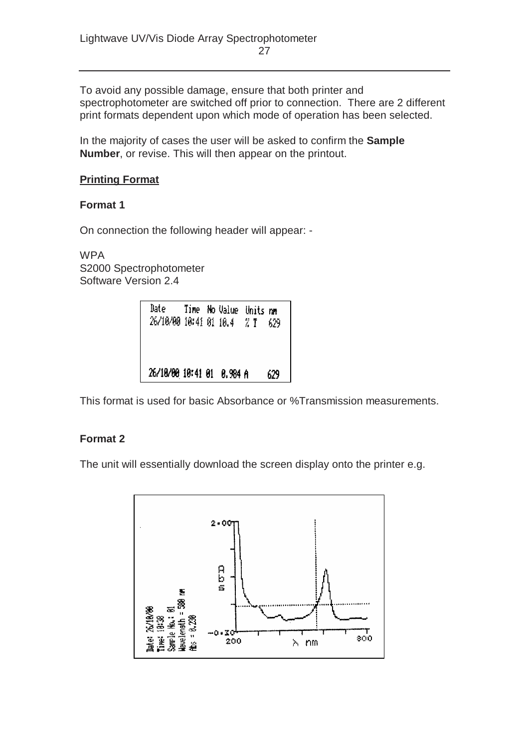To avoid any possible damage, ensure that both printer and spectrophotometer are switched off prior to connection. There are 2 different print formats dependent upon which mode of operation has been selected.

In the majority of cases the user will be asked to confirm the **Sample Number**, or revise. This will then appear on the printout.

#### **Printing Format**

#### **Format 1**

On connection the following header will appear: -

WPA S2000 Spectrophotometer Software Version 2.4

This format is used for basic Absorbance or %Transmission measurements.

#### **Format 2**

The unit will essentially download the screen display onto the printer e.g.

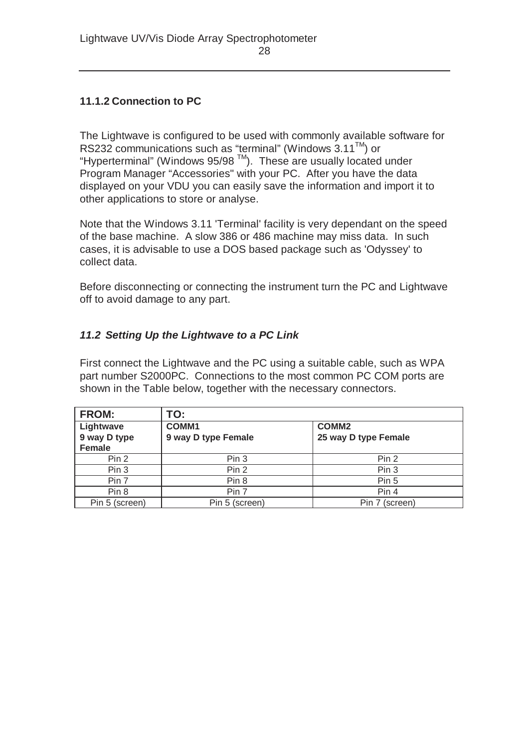#### **11.1.2 Connection to PC**

The Lightwave is configured to be used with commonly available software for RS232 communications such as "terminal" (Windows  $3.11^{TM}$ ) or "Hyperterminal" (Windows 95/98  $\text{TM}$ ). These are usually located under Program Manager "Accessories" with your PC. After you have the data displayed on your VDU you can easily save the information and import it to other applications to store or analyse.

Note that the Windows 3.11 'Terminal' facility is very dependant on the speed of the base machine. A slow 386 or 486 machine may miss data. In such cases, it is advisable to use a DOS based package such as 'Odyssey' to collect data.

Before disconnecting or connecting the instrument turn the PC and Lightwave off to avoid damage to any part.

#### *11.2 Setting Up the Lightwave to a PC Link*

First connect the Lightwave and the PC using a suitable cable, such as WPA part number S2000PC. Connections to the most common PC COM ports are shown in the Table below, together with the necessary connectors.

| <b>FROM:</b><br>TO: |                     |                      |  |
|---------------------|---------------------|----------------------|--|
| Lightwave           | <b>COMM1</b>        | COMM <sub>2</sub>    |  |
| 9 way D type        | 9 way D type Female | 25 way D type Female |  |
| <b>Female</b>       |                     |                      |  |
| Pin 2               | Pin 3               | Pin 2                |  |
| Pin 3               | Pin 2               | Pin 3                |  |
| Pin 7               | Pin 8               | Pin 5                |  |
| Pin 8               | Pin 7               | Pin 4                |  |
| Pin 5 (screen)      | Pin 5 (screen)      | Pin 7 (screen)       |  |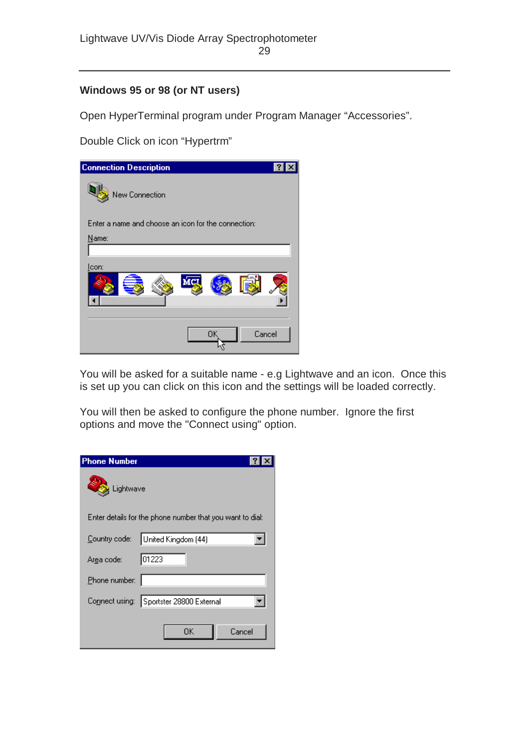#### **Windows 95 or 98 (or NT users)**

Open HyperTerminal program under Program Manager "Accessories".

Double Click on icon "Hypertrm"

| <b>Connection Description</b>                       |    |        |
|-----------------------------------------------------|----|--------|
| New Connection                                      |    |        |
| Enter a name and choose an icon for the connection: |    |        |
| Name:                                               |    |        |
| <u>l</u> con:                                       |    |        |
|                                                     | 0K | Cancel |

You will be asked for a suitable name - e.g Lightwave and an icon. Once this is set up you can click on this icon and the settings will be loaded correctly.

You will then be asked to configure the phone number. Ignore the first options and move the "Connect using" option.

| <b>Phone Number</b>   |                                                           |  |
|-----------------------|-----------------------------------------------------------|--|
| Lightwave             |                                                           |  |
|                       | Enter details for the phone number that you want to dial: |  |
| Country code:         | United Kingdom (44)                                       |  |
| Ar <u>e</u> a code: I | 01223                                                     |  |
| Phone number:         |                                                           |  |
|                       | Connect using: Sportster 28800 External                   |  |
|                       | Cancel<br>ΟK                                              |  |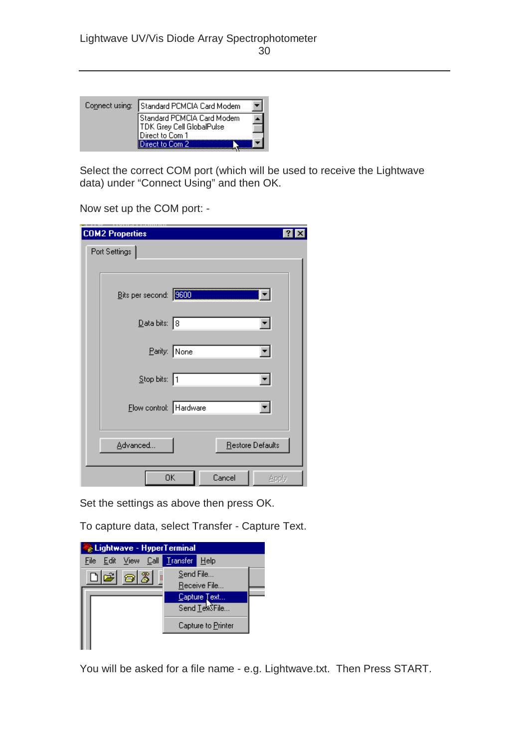| Connect using: Standard PCMCIA Card Modem                                  |  |
|----------------------------------------------------------------------------|--|
| Standard PCMCIA Card Modem<br>TDK Grey Cell GlobalPulse<br>Direct to Com 1 |  |
| Direct to Com 2                                                            |  |

Select the correct COM port (which will be used to receive the Lightwave data) under "Connect Using" and then OK.

Now set up the COM port: -

| <b>COM2 Properties</b> | 2                     |
|------------------------|-----------------------|
| Port Settings          |                       |
|                        |                       |
| Bits per second: 3500  |                       |
| Data bits: 8           |                       |
|                        | Parity: None          |
| Stop bits: 1           |                       |
| Flow control: Hardware |                       |
| Advanced               | Restore Defaults      |
|                        | 0K<br>Cancel<br>Apply |

Set the settings as above then press OK.

To capture data, select Transfer - Capture Text.

| Lightwave - HyperTerminal    |           |                                       |  |  |
|------------------------------|-----------|---------------------------------------|--|--|
| File Edit View Call Transfer |           | Help                                  |  |  |
| $\sqrt{3}$<br>c o<br>ā       | Send File |                                       |  |  |
|                              |           | Receive File                          |  |  |
|                              |           | Capture Text<br>Send <u>T</u> exSFile |  |  |
|                              |           |                                       |  |  |
|                              |           | Capture to Printer                    |  |  |
|                              |           |                                       |  |  |

You will be asked for a file name - e.g. Lightwave.txt. Then Press START.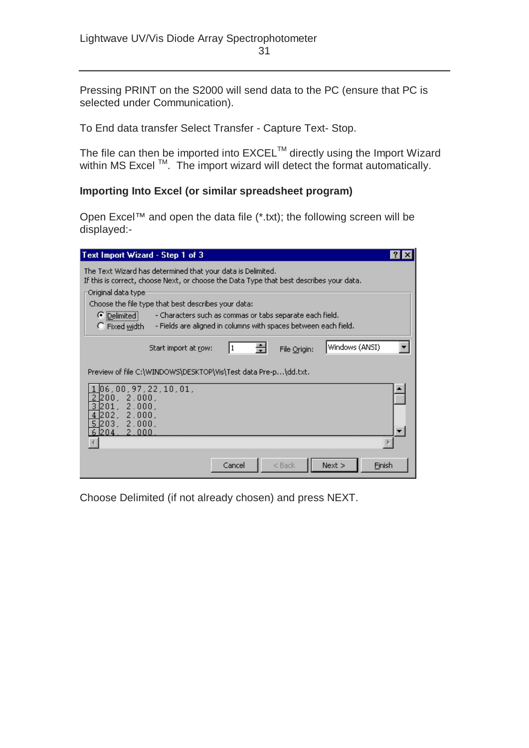Pressing PRINT on the S2000 will send data to the PC (ensure that PC is selected under Communication).

To End data transfer Select Transfer - Capture Text- Stop.

The file can then be imported into  $\mathsf{EXCEL}^{\mathsf{TM}}$  directly using the Import Wizard within MS Excel  $TM$ . The import wizard will detect the format automatically.

#### **Importing Into Excel (or similar spreadsheet program)**

Open Excel™ and open the data file (\*.txt); the following screen will be displayed:-

| Text Import Wizard - Step 1 of 3                                                                                                                            |  |
|-------------------------------------------------------------------------------------------------------------------------------------------------------------|--|
| The Text Wizard has determined that your data is Delimited.<br>If this is correct, choose Next, or choose the Data Type that best describes your data.      |  |
| Original data type                                                                                                                                          |  |
| Choose the file type that best describes your data:                                                                                                         |  |
| C Delimited<br>- Characters such as commas or tabs separate each field.<br>C Fixed width<br>- Fields are aligned in columns with spaces between each field. |  |
| Windows (ANSI)<br>Start import at row:<br>File Origin:                                                                                                      |  |
| Preview of file C:\WINDOWS\DESKTOP\Vis\Test data Pre-p\dd.txt.                                                                                              |  |
| 06,00,97,22,10,01,<br>200.<br>2.000.<br>2.000.<br>ות?<br>2.000.<br>202.<br>203.<br>2.000.<br>6 204.<br>2.000                                                |  |
|                                                                                                                                                             |  |
| Cancel<br>$<$ Back<br>Next<br>Finish                                                                                                                        |  |

Choose Delimited (if not already chosen) and press NEXT.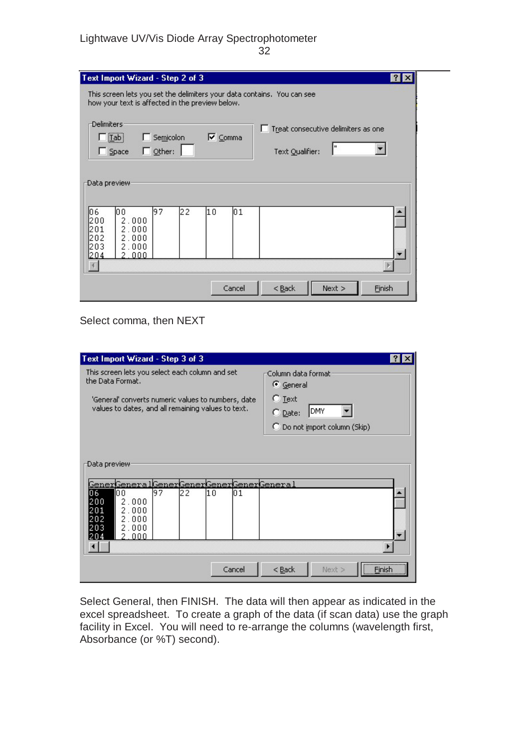# Lightwave UV/Vis Diode Array Spectrophotometer

32

| Text Import Wizard - Step 2 of 3                                                                                               | $?$   $\times$                                         |  |  |
|--------------------------------------------------------------------------------------------------------------------------------|--------------------------------------------------------|--|--|
| This screen lets you set the delimiters your data contains. You can see<br>how your text is affected in the preview below.     |                                                        |  |  |
| <b>Delimiters</b><br>Semicolon<br><b>▽</b> Comma<br>$[$ Lab $]$<br>$\Box$ Other:<br>$\Box$ Space                               | Treat consecutive delimiters as one<br>Text Qualifier: |  |  |
| Data preview:                                                                                                                  |                                                        |  |  |
| 10 6<br>22<br>197<br>10 O<br>l1 O<br>101<br>200<br>2.000<br>l201<br>2.000<br>202<br>2.000<br>1203<br>2.000<br>1204<br>000<br>2 |                                                        |  |  |
| Cancel                                                                                                                         | $<$ Back<br>Next<br>Finish                             |  |  |

Select comma, then NEXT

| Text Import Wizard - Step 3 of 3                                                                                                                                                   |             |                                                                                                         |            |
|------------------------------------------------------------------------------------------------------------------------------------------------------------------------------------|-------------|---------------------------------------------------------------------------------------------------------|------------|
| This screen lets you select each column and set<br>the Data Format.<br>'General' converts numeric values to numbers, date<br>values to dates, and all remaining values to text.    |             | Column data format<br>← General<br>$C$ Text<br>DMY<br>$\bigcirc$ Date:<br>C Do not import column (Skip) |            |
| -Data preview:<br><u> GenerGeneralGenerGenerGenerGenerGeneral</u><br>06<br>l9 7<br>122<br>10 O<br>200<br>2.000<br>201<br>2.000<br>202<br>2.000<br>203<br>2.000<br>1204<br>000<br>2 | l1 O<br>101 |                                                                                                         |            |
|                                                                                                                                                                                    | Cancel      | $<$ Back<br>Next >                                                                                      | <br>Finish |

Select General, then FINISH. The data will then appear as indicated in the excel spreadsheet. To create a graph of the data (if scan data) use the graph facility in Excel. You will need to re-arrange the columns (wavelength first, Absorbance (or %T) second).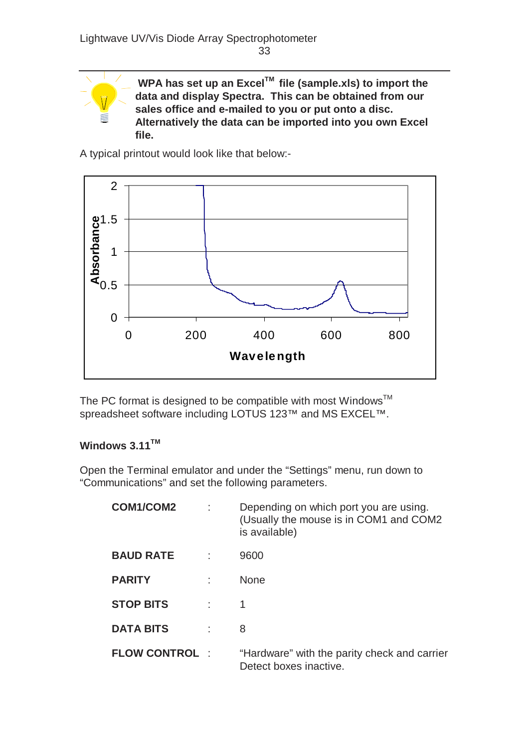

**WPA has set up an ExcelTM file (sample.xls) to import the data and display Spectra. This can be obtained from our sales office and e-mailed to you or put onto a disc. Alternatively the data can be imported into you own Excel file.**

A typical printout would look like that below:-



The PC format is designed to be compatible with most Windows<sup>TM</sup> spreadsheet software including LOTUS 123™ and MS EXCEL™.

#### **Windows 3.11TM**

Open the Terminal emulator and under the "Settings" menu, run down to "Communications" and set the following parameters.

| <b>COM1/COM2</b>     | Depending on which port you are using.<br>(Usually the mouse is in COM1 and COM2<br>is available) |
|----------------------|---------------------------------------------------------------------------------------------------|
| <b>BAUD RATE</b>     | 9600                                                                                              |
| <b>PARITY</b>        | <b>None</b>                                                                                       |
| <b>STOP BITS</b>     | 1                                                                                                 |
| <b>DATA BITS</b>     | 8                                                                                                 |
| <b>FLOW CONTROL:</b> | "Hardware" with the parity check and carrier<br>Detect boxes inactive.                            |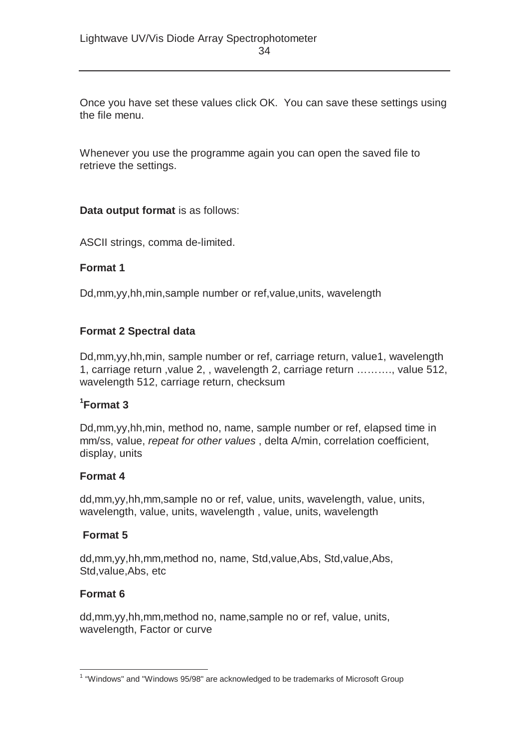Once you have set these values click OK. You can save these settings using the file menu.

Whenever you use the programme again you can open the saved file to retrieve the settings.

#### **Data output format** is as follows:

ASCII strings, comma de-limited.

#### **Format 1**

Dd,mm,yy,hh,min,sample number or ref,value,units, wavelength

#### **Format 2 Spectral data**

Dd,mm,yy,hh,min, sample number or ref, carriage return, value1, wavelength 1, carriage return ,value 2, , wavelength 2, carriage return ………., value 512, wavelength 512, carriage return, checksum

#### **1 Format 3**

Dd,mm,yy,hh,min, method no, name, sample number or ref, elapsed time in mm/ss, value, *repeat for other values* , delta A/min, correlation coefficient, display, units

#### **Format 4**

dd,mm,yy,hh,mm,sample no or ref, value, units, wavelength, value, units, wavelength, value, units, wavelength , value, units, wavelength

#### **Format 5**

dd,mm,yy,hh,mm,method no, name, Std,value,Abs, Std,value,Abs, Std,value,Abs, etc

#### **Format 6**

dd,mm,yy,hh,mm,method no, name,sample no or ref, value, units, wavelength, Factor or curve

 1 "Windows" and "Windows 95/98" are acknowledged to be trademarks of Microsoft Group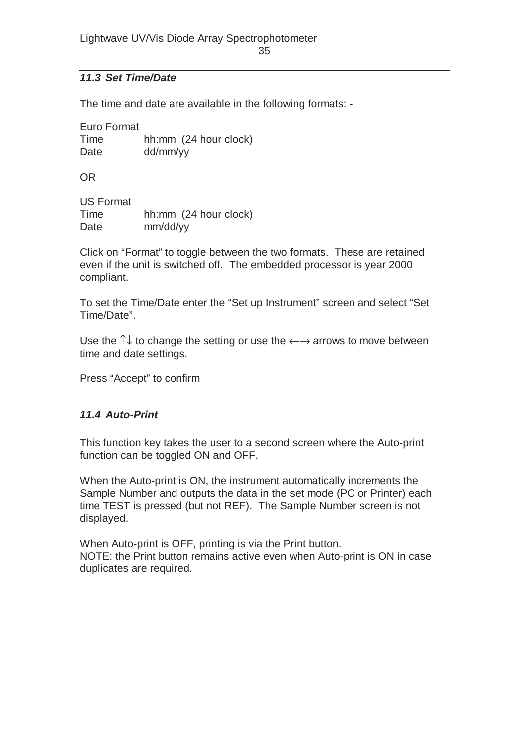#### *11.3 Set Time/Date*

The time and date are available in the following formats: -

| Euro Format |                       |  |  |
|-------------|-----------------------|--|--|
| Time        | hh:mm (24 hour clock) |  |  |
| Date        | dd/mm/yy              |  |  |

OR

| <b>US Format</b> |                       |
|------------------|-----------------------|
| Time             | hh:mm (24 hour clock) |
| Date             | mm/dd/yy              |

Click on "Format" to toggle between the two formats. These are retained even if the unit is switched off. The embedded processor is year 2000 compliant.

To set the Time/Date enter the "Set up Instrument" screen and select "Set Time/Date".

Use the  $\uparrow\downarrow$  to change the setting or use the  $\leftarrow\rightarrow$  arrows to move between time and date settings.

Press "Accept" to confirm

#### *11.4 Auto-Print*

This function key takes the user to a second screen where the Auto-print function can be toggled ON and OFF.

When the Auto-print is ON, the instrument automatically increments the Sample Number and outputs the data in the set mode (PC or Printer) each time TEST is pressed (but not REF). The Sample Number screen is not displayed.

When Auto-print is OFF, printing is via the Print button. NOTE: the Print button remains active even when Auto-print is ON in case duplicates are required.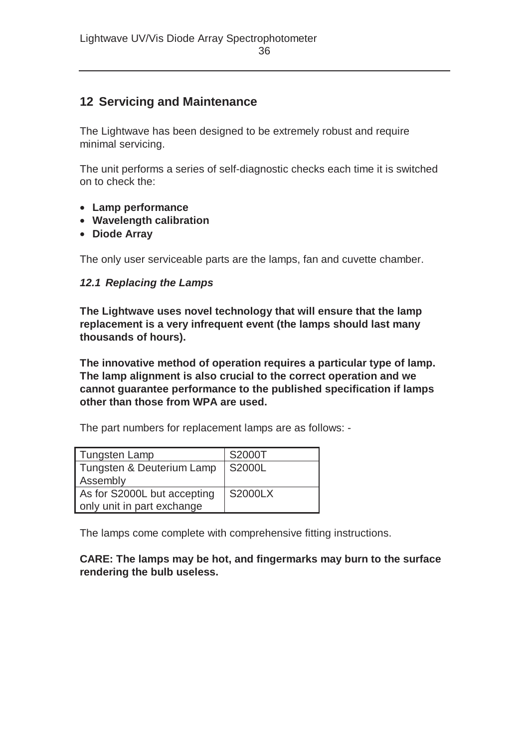## **12 Servicing and Maintenance**

The Lightwave has been designed to be extremely robust and require minimal servicing.

The unit performs a series of self-diagnostic checks each time it is switched on to check the:

- **Lamp performance**
- **Wavelength calibration**
- **Diode Array**

The only user serviceable parts are the lamps, fan and cuvette chamber.

#### *12.1 Replacing the Lamps*

**The Lightwave uses novel technology that will ensure that the lamp replacement is a very infrequent event (the lamps should last many thousands of hours).** 

**The innovative method of operation requires a particular type of lamp. The lamp alignment is also crucial to the correct operation and we cannot guarantee performance to the published specification if lamps other than those from WPA are used.** 

The part numbers for replacement lamps are as follows: -

| <b>Tungsten Lamp</b>        | S2000T         |
|-----------------------------|----------------|
| Tungsten & Deuterium Lamp   | S2000L         |
| Assembly                    |                |
| As for S2000L but accepting | <b>S2000LX</b> |
| only unit in part exchange  |                |

The lamps come complete with comprehensive fitting instructions.

#### **CARE: The lamps may be hot, and fingermarks may burn to the surface rendering the bulb useless.**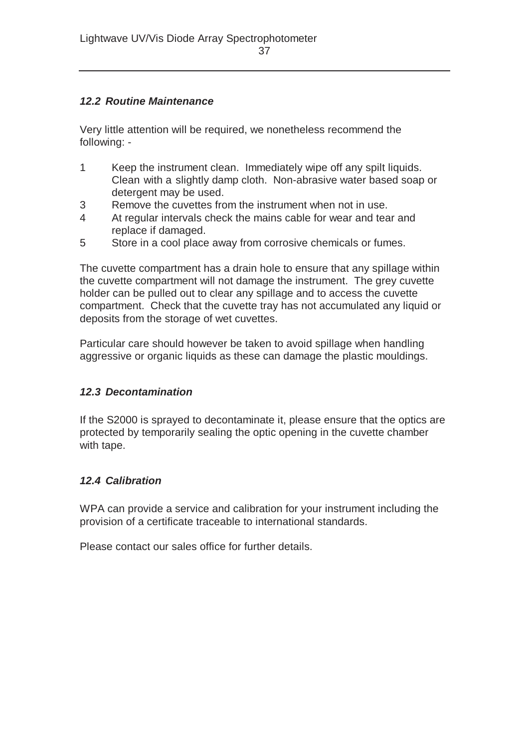#### *12.2 Routine Maintenance*

Very little attention will be required, we nonetheless recommend the following: -

- 1 Keep the instrument clean. Immediately wipe off any spilt liquids. Clean with a slightly damp cloth. Non-abrasive water based soap or detergent may be used.
- 3 Remove the cuvettes from the instrument when not in use.
- 4 At regular intervals check the mains cable for wear and tear and replace if damaged.
- 5 Store in a cool place away from corrosive chemicals or fumes.

The cuvette compartment has a drain hole to ensure that any spillage within the cuvette compartment will not damage the instrument. The grey cuvette holder can be pulled out to clear any spillage and to access the cuvette compartment. Check that the cuvette tray has not accumulated any liquid or deposits from the storage of wet cuvettes.

Particular care should however be taken to avoid spillage when handling aggressive or organic liquids as these can damage the plastic mouldings.

#### *12.3 Decontamination*

If the S2000 is sprayed to decontaminate it, please ensure that the optics are protected by temporarily sealing the optic opening in the cuvette chamber with tape.

#### *12.4 Calibration*

WPA can provide a service and calibration for your instrument including the provision of a certificate traceable to international standards.

Please contact our sales office for further details.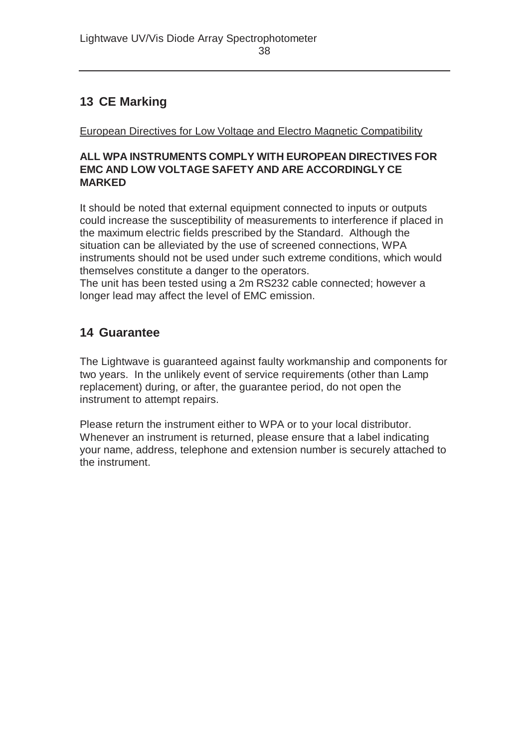# **13 CE Marking**

European Directives for Low Voltage and Electro Magnetic Compatibility

#### **ALL WPA INSTRUMENTS COMPLY WITH EUROPEAN DIRECTIVES FOR EMC AND LOW VOLTAGE SAFETY AND ARE ACCORDINGLY CE MARKED**

It should be noted that external equipment connected to inputs or outputs could increase the susceptibility of measurements to interference if placed in the maximum electric fields prescribed by the Standard. Although the situation can be alleviated by the use of screened connections, WPA instruments should not be used under such extreme conditions, which would themselves constitute a danger to the operators.

The unit has been tested using a 2m RS232 cable connected; however a longer lead may affect the level of EMC emission.

# **14 Guarantee**

The Lightwave is guaranteed against faulty workmanship and components for two years. In the unlikely event of service requirements (other than Lamp replacement) during, or after, the guarantee period, do not open the instrument to attempt repairs.

Please return the instrument either to WPA or to your local distributor. Whenever an instrument is returned, please ensure that a label indicating your name, address, telephone and extension number is securely attached to the instrument.